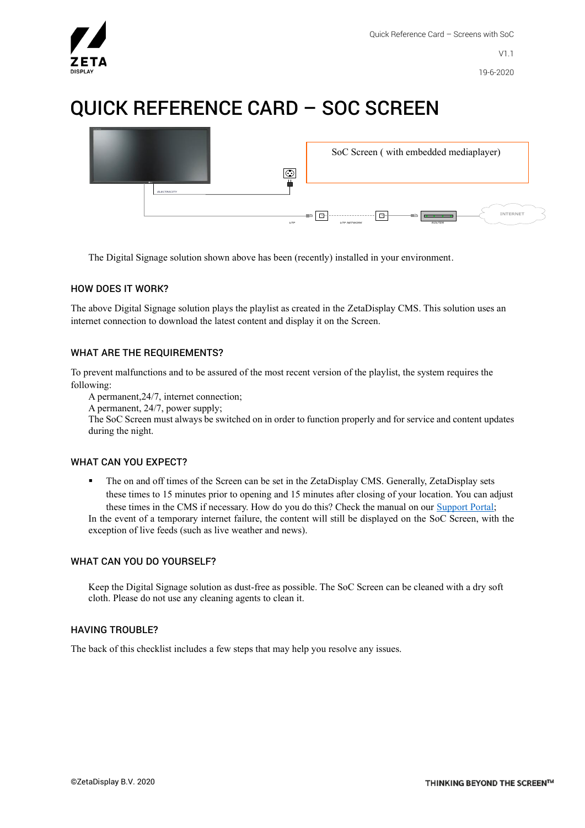

# QUICK REFERENCE CARD – SOC SCREEN



The Digital Signage solution shown above has been (recently) installed in your environment.

## HOW DOES IT WORK?

The above Digital Signage solution plays the playlist as created in the ZetaDisplay CMS. This solution uses an internet connection to download the latest content and display it on the Screen.

## WHAT ARE THE REQUIREMENTS?

To prevent malfunctions and to be assured of the most recent version of the playlist, the system requires the following:

A permanent,24/7, internet connection;

A permanent, 24/7, power supply;

The SoC Screen must always be switched on in order to function properly and for service and content updates during the night.

#### WHAT CAN YOU EXPECT?

The on and off times of the Screen can be set in the ZetaDisplay CMS. Generally, ZetaDisplay sets these times to 15 minutes prior to opening and 15 minutes after closing of your location. You can adjust these times in the CMS if necessary. How do you do this? Check the manual on our [Support Portal;](https://support.zetadisplay.com/en-us) In the event of a temporary internet failure, the content will still be displayed on the SoC Screen, with the exception of live feeds (such as live weather and news).

#### WHAT CAN YOU DO YOURSELF?

Keep the Digital Signage solution as dust-free as possible. The SoC Screen can be cleaned with a dry soft cloth. Please do not use any cleaning agents to clean it.

#### HAVING TROUBLE?

The back of this checklist includes a few steps that may help you resolve any issues.